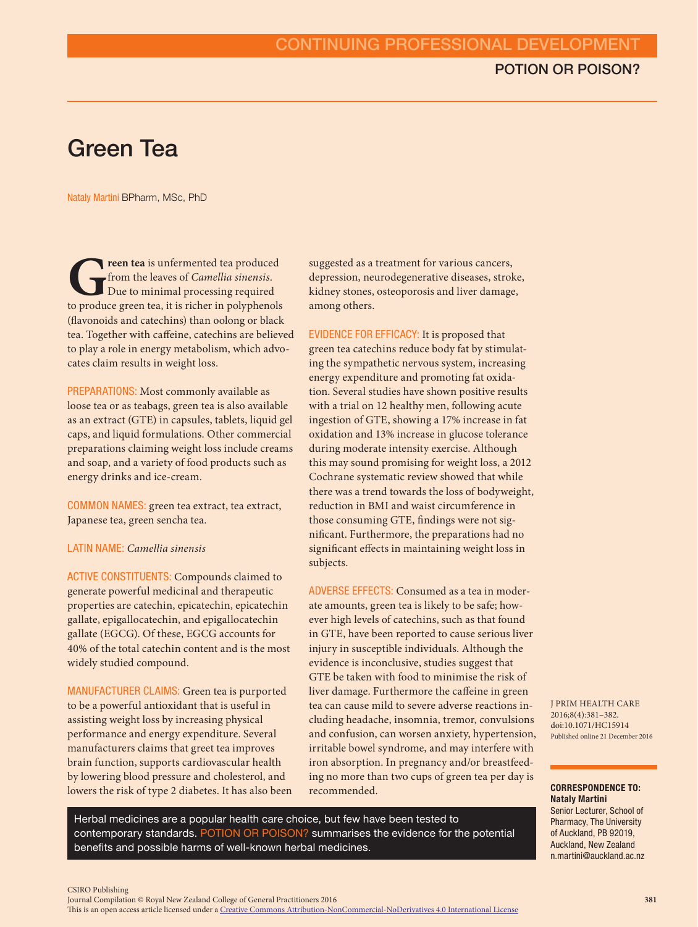# Green Tea

Nataly Martini BPharm, MSc, PhD

**Green tea** is unfermented tea produced from the leaves of *Camellia sinensis*. Due to minimal processing required to produce green tea, it is richer in polyphenols from the leaves of *Camellia sinensis*. Due to minimal processing required (flavonoids and catechins) than oolong or black tea. Together with caffeine, catechins are believed to play a role in energy metabolism, which advocates claim results in weight loss.

PREPARATIONS: Most commonly available as loose tea or as teabags, green tea is also available as an extract (GTE) in capsules, tablets, liquid gel caps, and liquid formulations. Other commercial preparations claiming weight loss include creams and soap, and a variety of food products such as energy drinks and ice-cream.

COMMON NAMES: green tea extract, tea extract, Japanese tea, green sencha tea.

### LATIN NAME: *Camellia sinensis*

ACTIVE CONSTITUENTS: Compounds claimed to generate powerful medicinal and therapeutic properties are catechin, epicatechin, epicatechin gallate, epigallocatechin, and epigallocatechin gallate (EGCG). Of these, EGCG accounts for 40% of the total catechin content and is the most widely studied compound.

MANUFACTURER CLAIMS: Green tea is purported to be a powerful antioxidant that is useful in assisting weight loss by increasing physical performance and energy expenditure. Several manufacturers claims that greet tea improves brain function, supports cardiovascular health by lowering blood pressure and cholesterol, and lowers the risk of type 2 diabetes. It has also been

suggested as a treatment for various cancers, depression, neurodegenerative diseases, stroke, kidney stones, osteoporosis and liver damage, among others.

EVIDENCE FOR EFFICACY: It is proposed that green tea catechins reduce body fat by stimulating the sympathetic nervous system, increasing energy expenditure and promoting fat oxidation. Several studies have shown positive results with a trial on 12 healthy men, following acute ingestion of GTE, showing a 17% increase in fat oxidation and 13% increase in glucose tolerance during moderate intensity exercise. Although this may sound promising for weight loss, a 2012 Cochrane systematic review showed that while there was a trend towards the loss of bodyweight, reduction in BMI and waist circumference in those consuming GTE, findings were not significant. Furthermore, the preparations had no significant effects in maintaining weight loss in subjects.

ADVERSE EFFECTS: Consumed as a tea in moderate amounts, green tea is likely to be safe; however high levels of catechins, such as that found in GTE, have been reported to cause serious liver injury in susceptible individuals. Although the evidence is inconclusive, studies suggest that GTE be taken with food to minimise the risk of liver damage. Furthermore the caffeine in green tea can cause mild to severe adverse reactions including headache, insomnia, tremor, convulsions and confusion, can worsen anxiety, hypertension, irritable bowel syndrome, and may interfere with iron absorption. In pregnancy and/or breastfeeding no more than two cups of green tea per day is recommended.

Herbal medicines are a popular health care choice, but few have been tested to contemporary standards. POTION OR POISON? summarises the evidence for the potential benefits and possible harms of well-known herbal medicines.

J PRIM HEALTH CARE doi:10.1071/HC15914 2016;8(4):381–382. Published online 21 December 2016

### CORRESPONDENCE TO: Nataly Martini

Senior Lecturer, School of Pharmacy, The University of Auckland, PB 92019, Auckland, New Zealand n.martini@auckland.ac.nz

CSIRO Publishing

Journal Compilation © Royal New Zealand College of General Practitioners 2016

This is an open access article licensed under a [Creative Commons Attribution-NonCommercial-NoDerivatives 4.0 International License](http://creativecommons.org/licenses/by-nc-nd/4.0/)